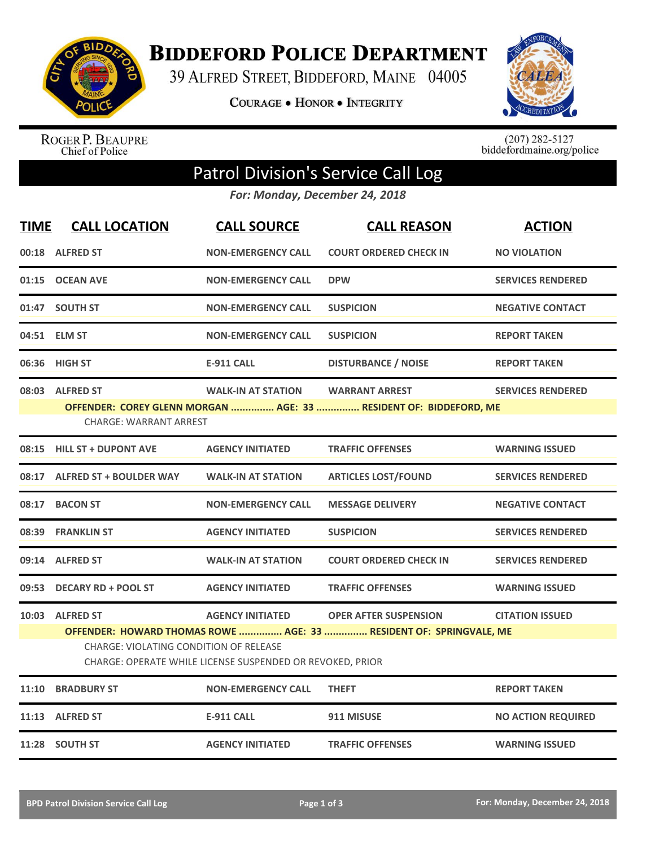

**BIDDEFORD POLICE DEPARTMENT** 

39 ALFRED STREET, BIDDEFORD, MAINE 04005

COURAGE . HONOR . INTEGRITY



ROGER P. BEAUPRE<br>Chief of Police

 $(207)$  282-5127<br>biddefordmaine.org/police

## Patrol Division's Service Call Log

*For: Monday, December 24, 2018*

| <b>TIME</b> | <b>CALL LOCATION</b>                                                                                                                                                                                                                                                                     | <b>CALL SOURCE</b>        | <b>CALL REASON</b>            | <b>ACTION</b>             |  |  |
|-------------|------------------------------------------------------------------------------------------------------------------------------------------------------------------------------------------------------------------------------------------------------------------------------------------|---------------------------|-------------------------------|---------------------------|--|--|
|             | 00:18 ALFRED ST                                                                                                                                                                                                                                                                          | <b>NON-EMERGENCY CALL</b> | <b>COURT ORDERED CHECK IN</b> | <b>NO VIOLATION</b>       |  |  |
|             | 01:15 OCEAN AVE                                                                                                                                                                                                                                                                          | <b>NON-EMERGENCY CALL</b> | <b>DPW</b>                    | <b>SERVICES RENDERED</b>  |  |  |
|             | 01:47 SOUTH ST                                                                                                                                                                                                                                                                           | <b>NON-EMERGENCY CALL</b> | <b>SUSPICION</b>              | <b>NEGATIVE CONTACT</b>   |  |  |
|             | 04:51 ELM ST                                                                                                                                                                                                                                                                             | <b>NON-EMERGENCY CALL</b> | <b>SUSPICION</b>              | <b>REPORT TAKEN</b>       |  |  |
|             | 06:36 HIGH ST                                                                                                                                                                                                                                                                            | <b>E-911 CALL</b>         | <b>DISTURBANCE / NOISE</b>    | <b>REPORT TAKEN</b>       |  |  |
|             | 08:03 ALFRED ST<br><b>WALK-IN AT STATION</b><br><b>WARRANT ARREST</b><br><b>SERVICES RENDERED</b><br>OFFENDER: COREY GLENN MORGAN  AGE: 33  RESIDENT OF: BIDDEFORD, ME<br><b>CHARGE: WARRANT ARREST</b>                                                                                  |                           |                               |                           |  |  |
|             | 08:15 HILL ST + DUPONT AVE                                                                                                                                                                                                                                                               | <b>AGENCY INITIATED</b>   | <b>TRAFFIC OFFENSES</b>       | <b>WARNING ISSUED</b>     |  |  |
|             | 08:17 ALFRED ST + BOULDER WAY                                                                                                                                                                                                                                                            | <b>WALK-IN AT STATION</b> | <b>ARTICLES LOST/FOUND</b>    | <b>SERVICES RENDERED</b>  |  |  |
|             | 08:17 BACON ST                                                                                                                                                                                                                                                                           | <b>NON-EMERGENCY CALL</b> | <b>MESSAGE DELIVERY</b>       | <b>NEGATIVE CONTACT</b>   |  |  |
|             | 08:39 FRANKLIN ST                                                                                                                                                                                                                                                                        | <b>AGENCY INITIATED</b>   | <b>SUSPICION</b>              | <b>SERVICES RENDERED</b>  |  |  |
|             | 09:14 ALFRED ST                                                                                                                                                                                                                                                                          | <b>WALK-IN AT STATION</b> | <b>COURT ORDERED CHECK IN</b> | <b>SERVICES RENDERED</b>  |  |  |
|             | 09:53 DECARY RD + POOL ST                                                                                                                                                                                                                                                                | <b>AGENCY INITIATED</b>   | <b>TRAFFIC OFFENSES</b>       | <b>WARNING ISSUED</b>     |  |  |
|             | 10:03 ALFRED ST<br><b>AGENCY INITIATED</b><br><b>OPER AFTER SUSPENSION</b><br><b>CITATION ISSUED</b><br>OFFENDER: HOWARD THOMAS ROWE  AGE: 33  RESIDENT OF: SPRINGVALE, ME<br><b>CHARGE: VIOLATING CONDITION OF RELEASE</b><br>CHARGE: OPERATE WHILE LICENSE SUSPENDED OR REVOKED, PRIOR |                           |                               |                           |  |  |
| 11:10       | <b>BRADBURY ST</b>                                                                                                                                                                                                                                                                       | <b>NON-EMERGENCY CALL</b> | <b>THEFT</b>                  | <b>REPORT TAKEN</b>       |  |  |
|             | 11:13 ALFRED ST                                                                                                                                                                                                                                                                          | <b>E-911 CALL</b>         | 911 MISUSE                    | <b>NO ACTION REQUIRED</b> |  |  |
|             | 11:28 SOUTH ST                                                                                                                                                                                                                                                                           | <b>AGENCY INITIATED</b>   | <b>TRAFFIC OFFENSES</b>       | <b>WARNING ISSUED</b>     |  |  |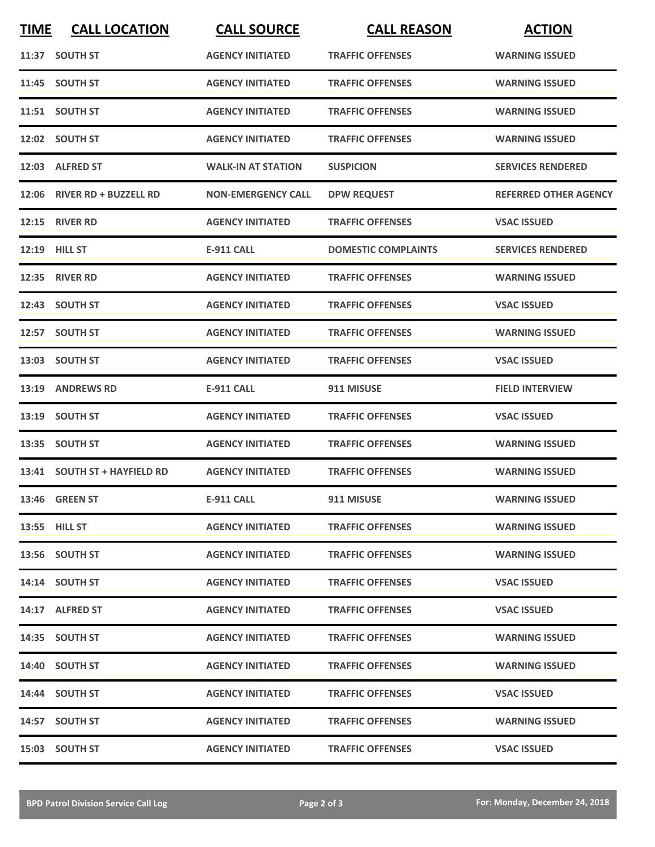| <b>TIME</b> | <b>CALL LOCATION</b>         | <b>CALL SOURCE</b>        | <b>CALL REASON</b>         | <b>ACTION</b>                |
|-------------|------------------------------|---------------------------|----------------------------|------------------------------|
|             | 11:37 SOUTH ST               | <b>AGENCY INITIATED</b>   | <b>TRAFFIC OFFENSES</b>    | <b>WARNING ISSUED</b>        |
|             | 11:45 SOUTH ST               | <b>AGENCY INITIATED</b>   | <b>TRAFFIC OFFENSES</b>    | <b>WARNING ISSUED</b>        |
|             | 11:51 SOUTH ST               | <b>AGENCY INITIATED</b>   | <b>TRAFFIC OFFENSES</b>    | <b>WARNING ISSUED</b>        |
|             | 12:02 SOUTH ST               | <b>AGENCY INITIATED</b>   | <b>TRAFFIC OFFENSES</b>    | <b>WARNING ISSUED</b>        |
|             | 12:03 ALFRED ST              | <b>WALK-IN AT STATION</b> | <b>SUSPICION</b>           | <b>SERVICES RENDERED</b>     |
|             | 12:06 RIVER RD + BUZZELL RD  | <b>NON-EMERGENCY CALL</b> | <b>DPW REQUEST</b>         | <b>REFERRED OTHER AGENCY</b> |
|             | <b>12:15 RIVER RD</b>        | <b>AGENCY INITIATED</b>   | <b>TRAFFIC OFFENSES</b>    | <b>VSAC ISSUED</b>           |
| 12:19       | <b>HILL ST</b>               | <b>E-911 CALL</b>         | <b>DOMESTIC COMPLAINTS</b> | <b>SERVICES RENDERED</b>     |
|             | 12:35 RIVER RD               | <b>AGENCY INITIATED</b>   | <b>TRAFFIC OFFENSES</b>    | <b>WARNING ISSUED</b>        |
|             | 12:43 SOUTH ST               | <b>AGENCY INITIATED</b>   | <b>TRAFFIC OFFENSES</b>    | <b>VSAC ISSUED</b>           |
|             | 12:57 SOUTH ST               | <b>AGENCY INITIATED</b>   | <b>TRAFFIC OFFENSES</b>    | <b>WARNING ISSUED</b>        |
|             | 13:03 SOUTH ST               | <b>AGENCY INITIATED</b>   | <b>TRAFFIC OFFENSES</b>    | <b>VSAC ISSUED</b>           |
| 13:19       | <b>ANDREWS RD</b>            | <b>E-911 CALL</b>         | 911 MISUSE                 | <b>FIELD INTERVIEW</b>       |
| 13:19       | <b>SOUTH ST</b>              | <b>AGENCY INITIATED</b>   | <b>TRAFFIC OFFENSES</b>    | <b>VSAC ISSUED</b>           |
|             | 13:35 SOUTH ST               | <b>AGENCY INITIATED</b>   | <b>TRAFFIC OFFENSES</b>    | <b>WARNING ISSUED</b>        |
|             | 13:41 SOUTH ST + HAYFIELD RD | <b>AGENCY INITIATED</b>   | <b>TRAFFIC OFFENSES</b>    | <b>WARNING ISSUED</b>        |
|             | 13:46 GREEN ST               | <b>E-911 CALL</b>         | 911 MISUSE                 | <b>WARNING ISSUED</b>        |
|             | 13:55 HILL ST                | <b>AGENCY INITIATED</b>   | <b>TRAFFIC OFFENSES</b>    | <b>WARNING ISSUED</b>        |
|             | 13:56 SOUTH ST               | <b>AGENCY INITIATED</b>   | <b>TRAFFIC OFFENSES</b>    | <b>WARNING ISSUED</b>        |
|             | 14:14 SOUTH ST               | <b>AGENCY INITIATED</b>   | <b>TRAFFIC OFFENSES</b>    | <b>VSAC ISSUED</b>           |
|             | 14:17 ALFRED ST              | <b>AGENCY INITIATED</b>   | <b>TRAFFIC OFFENSES</b>    | <b>VSAC ISSUED</b>           |
|             | 14:35 SOUTH ST               | <b>AGENCY INITIATED</b>   | <b>TRAFFIC OFFENSES</b>    | <b>WARNING ISSUED</b>        |
|             | 14:40 SOUTH ST               | <b>AGENCY INITIATED</b>   | <b>TRAFFIC OFFENSES</b>    | <b>WARNING ISSUED</b>        |
|             | 14:44 SOUTH ST               | <b>AGENCY INITIATED</b>   | <b>TRAFFIC OFFENSES</b>    | <b>VSAC ISSUED</b>           |
|             | 14:57 SOUTH ST               | <b>AGENCY INITIATED</b>   | <b>TRAFFIC OFFENSES</b>    | <b>WARNING ISSUED</b>        |
|             | 15:03 SOUTH ST               | <b>AGENCY INITIATED</b>   | <b>TRAFFIC OFFENSES</b>    | <b>VSAC ISSUED</b>           |